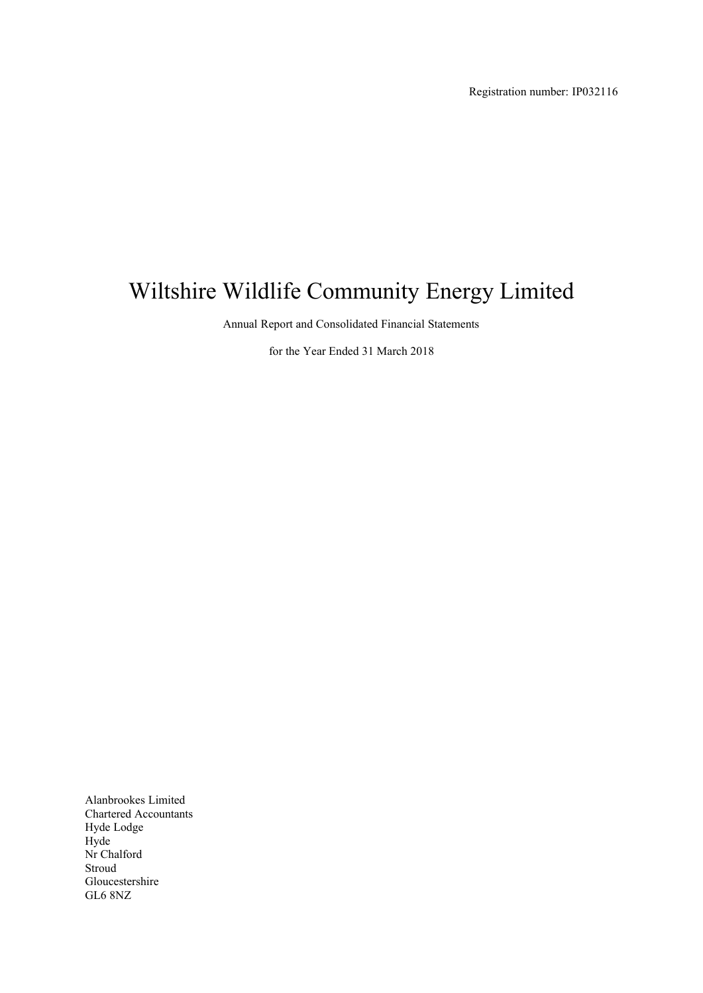Registration number: IP032116

# Wiltshire Wildlife Community Energy Limited

Annual Report and Consolidated Financial Statements

for the Year Ended 31 March 2018

Alanbrookes Limited Chartered Accountants Hyde Lodge Hyde Nr Chalford Stroud Gloucestershire GL6 8NZ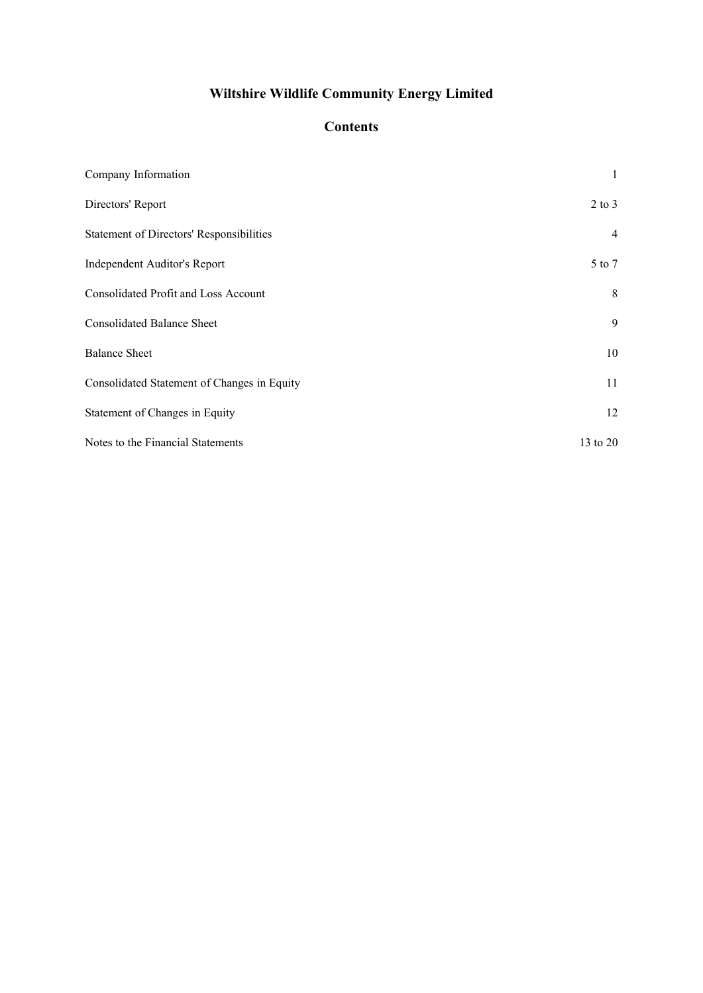# **Contents**

| Company Information                             | 1              |
|-------------------------------------------------|----------------|
| Directors' Report                               | $2$ to $3$     |
| <b>Statement of Directors' Responsibilities</b> | $\overline{4}$ |
| Independent Auditor's Report                    | 5 to 7         |
| <b>Consolidated Profit and Loss Account</b>     | 8              |
| <b>Consolidated Balance Sheet</b>               | 9              |
| <b>Balance Sheet</b>                            | 10             |
| Consolidated Statement of Changes in Equity     | 11             |
| Statement of Changes in Equity                  | 12             |
| Notes to the Financial Statements               | 13 to 20       |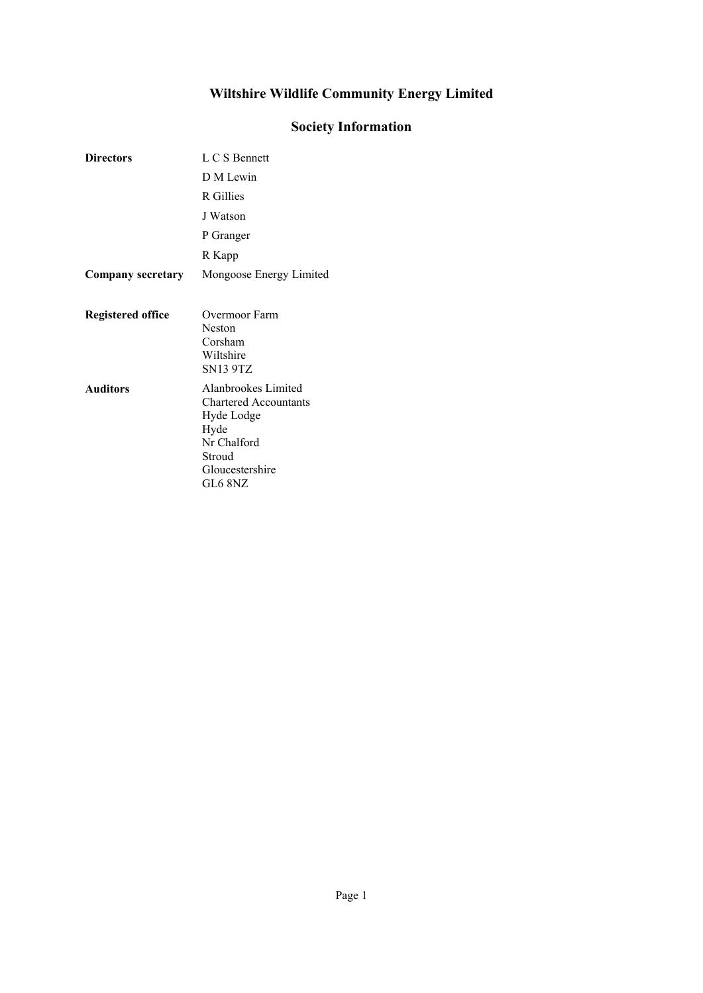# Society Information

<span id="page-2-0"></span>

| <b>Directors</b>         | L C S Bennett                                                                                                                    |
|--------------------------|----------------------------------------------------------------------------------------------------------------------------------|
|                          | D M Lewin                                                                                                                        |
|                          | R Gillies                                                                                                                        |
|                          | J Watson                                                                                                                         |
|                          | P Granger                                                                                                                        |
|                          | R Kapp                                                                                                                           |
| <b>Company secretary</b> | Mongoose Energy Limited                                                                                                          |
| <b>Registered office</b> | Overmoor Farm<br>Neston<br>Corsham<br>Wiltshire<br><b>SN13 9TZ</b>                                                               |
| <b>Auditors</b>          | Alanbrookes Limited<br><b>Chartered Accountants</b><br>Hyde Lodge<br>Hyde<br>Nr Chalford<br>Stroud<br>Gloucestershire<br>GL6 8NZ |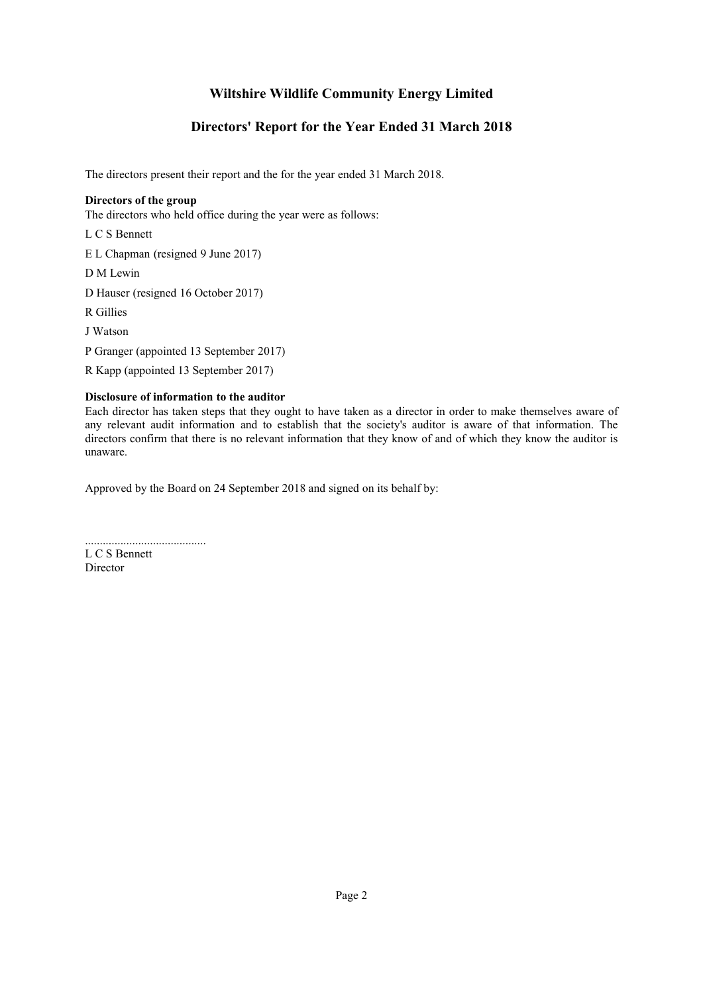### Directors' Report for the Year Ended 31 March 2018

<span id="page-3-0"></span>The directors present their report and the for the year ended 31 March 2018.

### Directors of the group

The directors who held office during the year were as follows:

L C S Bennett

E L Chapman (resigned 9 June 2017)

D M Lewin

D Hauser (resigned 16 October 2017)

R Gillies

J Watson

P Granger (appointed 13 September 2017)

R Kapp (appointed 13 September 2017)

### Disclosure of information to the auditor

Each director has taken steps that they ought to have taken as a director in order to make themselves aware of any relevant audit information and to establish that the society's auditor is aware of that information. The directors confirm that there is no relevant information that they know of and of which they know the auditor is unaware.

Approved by the Board on 24 September 2018 and signed on its behalf by:

......................................... L C S Bennett Director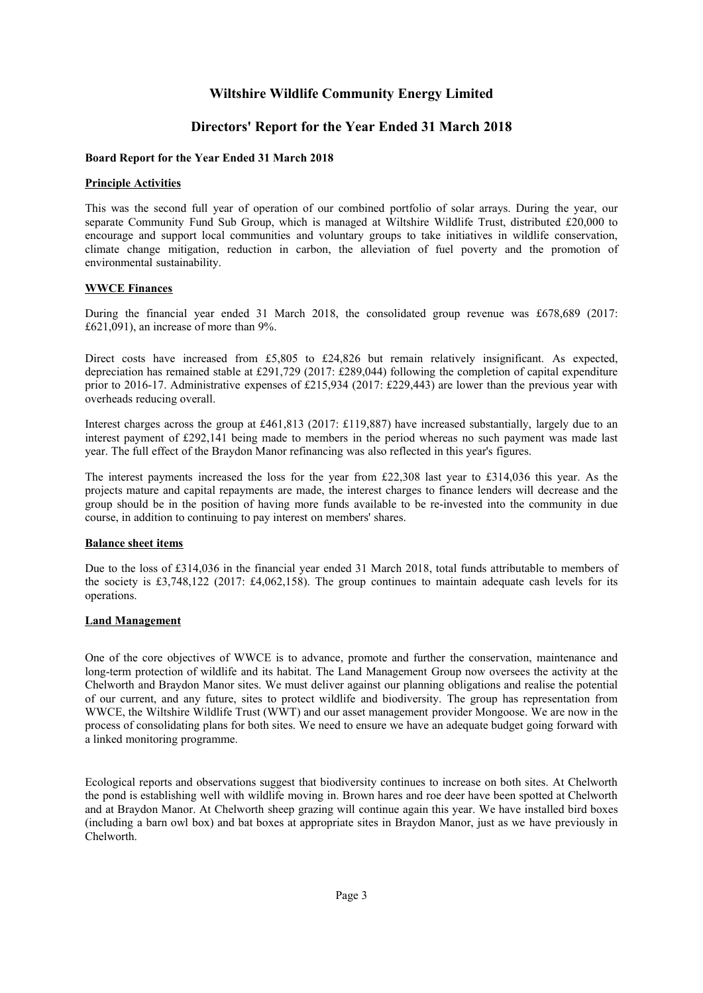### Directors' Report for the Year Ended 31 March 2018

#### Board Report for the Year Ended 31 March 2018

#### Principle Activities

This was the second full year of operation of our combined portfolio of solar arrays. During the year, our separate Community Fund Sub Group, which is managed at Wiltshire Wildlife Trust, distributed £20,000 to encourage and support local communities and voluntary groups to take initiatives in wildlife conservation, climate change mitigation, reduction in carbon, the alleviation of fuel poverty and the promotion of environmental sustainability.

#### WWCE Finances

During the financial year ended 31 March 2018, the consolidated group revenue was £678,689 (2017: £621,091), an increase of more than 9%.

Direct costs have increased from £5,805 to £24,826 but remain relatively insignificant. As expected, depreciation has remained stable at £291,729 (2017: £289,044) following the completion of capital expenditure prior to 2016-17. Administrative expenses of £215,934 (2017: £229,443) are lower than the previous year with overheads reducing overall.

Interest charges across the group at £461,813 (2017: £119,887) have increased substantially, largely due to an interest payment of £292,141 being made to members in the period whereas no such payment was made last year. The full effect of the Braydon Manor refinancing was also reflected in this year's figures.

The interest payments increased the loss for the year from £22,308 last year to £314,036 this year. As the projects mature and capital repayments are made, the interest charges to finance lenders will decrease and the group should be in the position of having more funds available to be re-invested into the community in due course, in addition to continuing to pay interest on members' shares.

#### Balance sheet items

Due to the loss of £314,036 in the financial year ended 31 March 2018, total funds attributable to members of the society is £3,748,122 (2017: £4,062,158). The group continues to maintain adequate cash levels for its operations.

#### Land Management

One of the core objectives of WWCE is to advance, promote and further the conservation, maintenance and long-term protection of wildlife and its habitat. The Land Management Group now oversees the activity at the Chelworth and Braydon Manor sites. We must deliver against our planning obligations and realise the potential of our current, and any future, sites to protect wildlife and biodiversity. The group has representation from WWCE, the Wiltshire Wildlife Trust (WWT) and our asset management provider Mongoose. We are now in the process of consolidating plans for both sites. We need to ensure we have an adequate budget going forward with a linked monitoring programme.

Ecological reports and observations suggest that biodiversity continues to increase on both sites. At Chelworth the pond is establishing well with wildlife moving in. Brown hares and roe deer have been spotted at Chelworth and at Braydon Manor. At Chelworth sheep grazing will continue again this year. We have installed bird boxes (including a barn owl box) and bat boxes at appropriate sites in Braydon Manor, just as we have previously in Chelworth.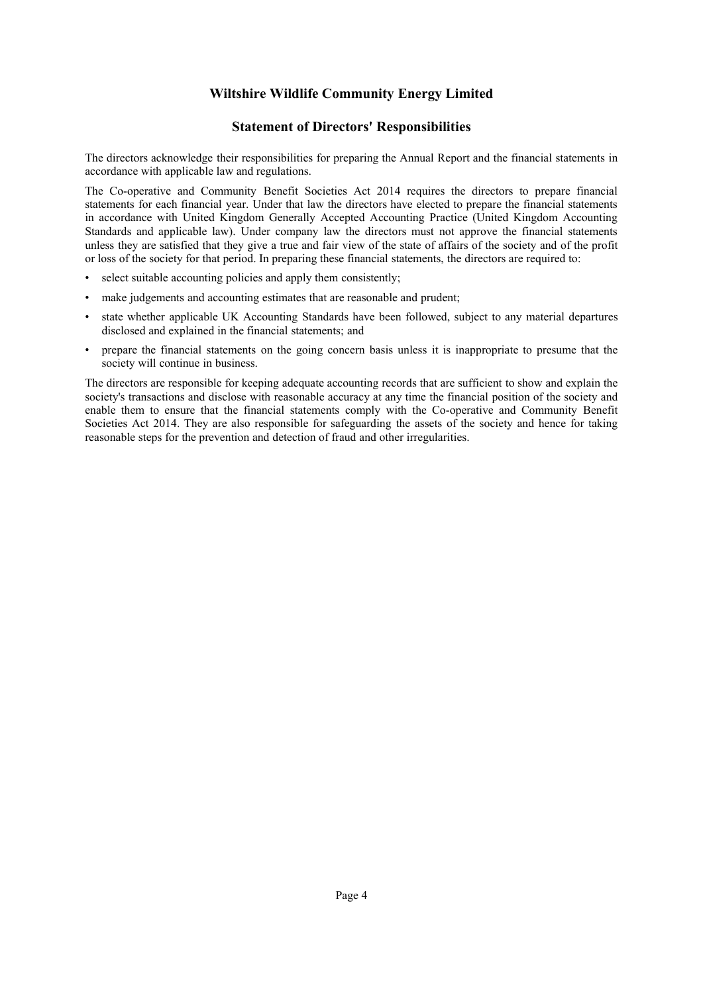### Statement of Directors' Responsibilities

<span id="page-5-0"></span>The directors acknowledge their responsibilities for preparing the Annual Report and the financial statements in accordance with applicable law and regulations.

The Co-operative and Community Benefit Societies Act 2014 requires the directors to prepare financial statements for each financial year. Under that law the directors have elected to prepare the financial statements in accordance with United Kingdom Generally Accepted Accounting Practice (United Kingdom Accounting Standards and applicable law). Under company law the directors must not approve the financial statements unless they are satisfied that they give a true and fair view of the state of affairs of the society and of the profit or loss of the society for that period. In preparing these financial statements, the directors are required to:

- select suitable accounting policies and apply them consistently;
- make judgements and accounting estimates that are reasonable and prudent;
- state whether applicable UK Accounting Standards have been followed, subject to any material departures disclosed and explained in the financial statements; and
- prepare the financial statements on the going concern basis unless it is inappropriate to presume that the society will continue in business.

The directors are responsible for keeping adequate accounting records that are sufficient to show and explain the society's transactions and disclose with reasonable accuracy at any time the financial position of the society and enable them to ensure that the financial statements comply with the Co-operative and Community Benefit Societies Act 2014. They are also responsible for safeguarding the assets of the society and hence for taking reasonable steps for the prevention and detection of fraud and other irregularities.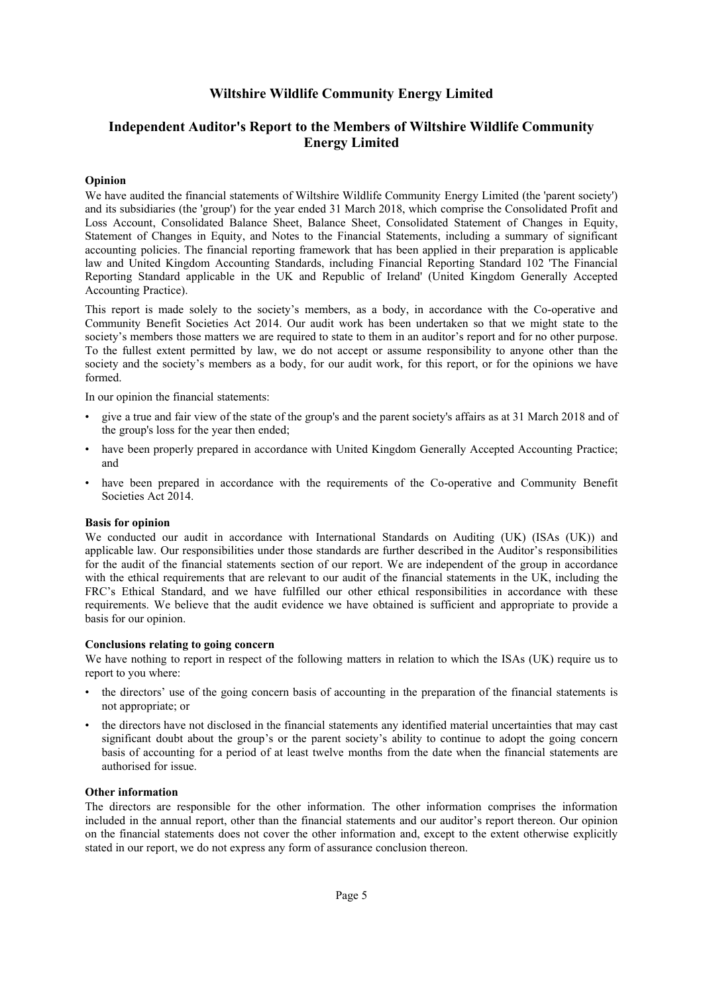### Independent Auditor's Report to the Members of Wiltshire Wildlife Community Energy Limited

#### <span id="page-6-0"></span>Opinion

We have audited the financial statements of Wiltshire Wildlife Community Energy Limited (the 'parent society') and its subsidiaries (the 'group') for the year ended 31 March 2018, which comprise the Consolidated Profit and Loss Account, Consolidated Balance Sheet, Balance Sheet, Consolidated Statement of Changes in Equity, Statement of Changes in Equity, and Notes to the Financial Statements, including a summary of significant accounting policies. The financial reporting framework that has been applied in their preparation is applicable law and United Kingdom Accounting Standards, including Financial Reporting Standard 102 'The Financial Reporting Standard applicable in the UK and Republic of Ireland' (United Kingdom Generally Accepted Accounting Practice).

This report is made solely to the society's members, as a body, in accordance with the Co-operative and Community Benefit Societies Act 2014. Our audit work has been undertaken so that we might state to the society's members those matters we are required to state to them in an auditor's report and for no other purpose. To the fullest extent permitted by law, we do not accept or assume responsibility to anyone other than the society and the society's members as a body, for our audit work, for this report, or for the opinions we have formed.

In our opinion the financial statements:

- give a true and fair view of the state of the group's and the parent society's affairs as at 31 March 2018 and of the group's loss for the year then ended;
- have been properly prepared in accordance with United Kingdom Generally Accepted Accounting Practice; and
- have been prepared in accordance with the requirements of the Co-operative and Community Benefit Societies Act 2014.

#### Basis for opinion

We conducted our audit in accordance with International Standards on Auditing (UK) (ISAs (UK)) and applicable law. Our responsibilities under those standards are further described in the Auditor's responsibilities for the audit of the financial statements section of our report. We are independent of the group in accordance with the ethical requirements that are relevant to our audit of the financial statements in the UK, including the FRC's Ethical Standard, and we have fulfilled our other ethical responsibilities in accordance with these requirements. We believe that the audit evidence we have obtained is sufficient and appropriate to provide a basis for our opinion.

#### Conclusions relating to going concern

We have nothing to report in respect of the following matters in relation to which the ISAs (UK) require us to report to you where:

- the directors' use of the going concern basis of accounting in the preparation of the financial statements is not appropriate; or
- the directors have not disclosed in the financial statements any identified material uncertainties that may cast significant doubt about the group's or the parent society's ability to continue to adopt the going concern basis of accounting for a period of at least twelve months from the date when the financial statements are authorised for issue.

#### Other information

The directors are responsible for the other information. The other information comprises the information included in the annual report, other than the financial statements and our auditor's report thereon. Our opinion on the financial statements does not cover the other information and, except to the extent otherwise explicitly stated in our report, we do not express any form of assurance conclusion thereon.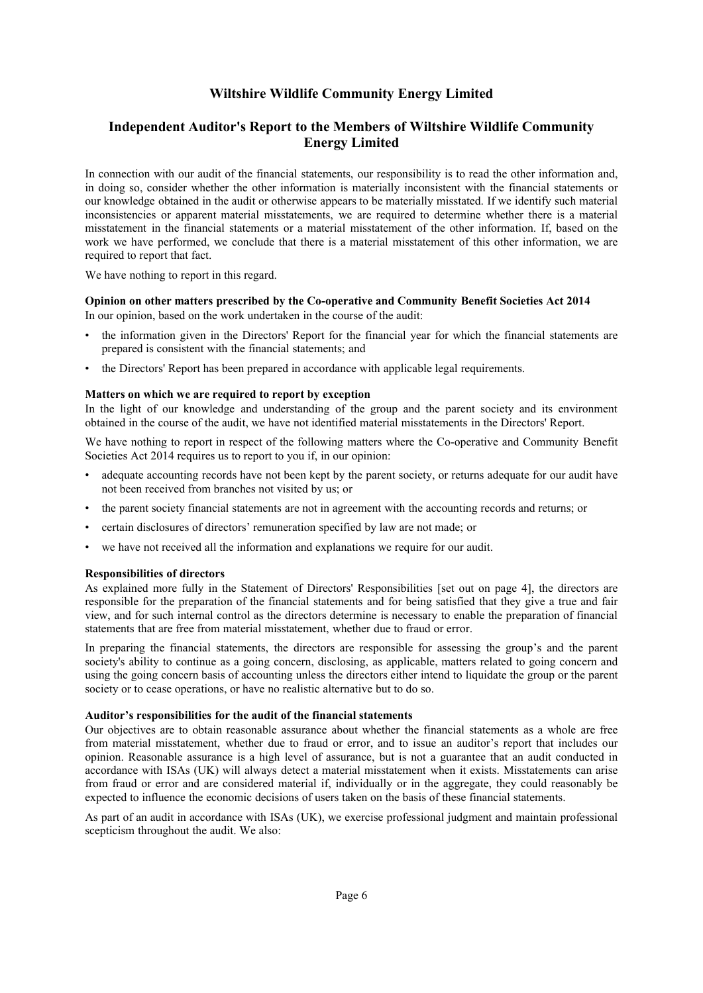### Independent Auditor's Report to the Members of Wiltshire Wildlife Community Energy Limited

In connection with our audit of the financial statements, our responsibility is to read the other information and, in doing so, consider whether the other information is materially inconsistent with the financial statements or our knowledge obtained in the audit or otherwise appears to be materially misstated. If we identify such material inconsistencies or apparent material misstatements, we are required to determine whether there is a material misstatement in the financial statements or a material misstatement of the other information. If, based on the work we have performed, we conclude that there is a material misstatement of this other information, we are required to report that fact.

We have nothing to report in this regard.

#### Opinion on other matters prescribed by the Co-operative and Community Benefit Societies Act 2014 In our opinion, based on the work undertaken in the course of the audit:

- the information given in the Directors' Report for the financial year for which the financial statements are prepared is consistent with the financial statements; and
- the Directors' Report has been prepared in accordance with applicable legal requirements.

#### Matters on which we are required to report by exception

In the light of our knowledge and understanding of the group and the parent society and its environment obtained in the course of the audit, we have not identified material misstatements in the Directors' Report.

We have nothing to report in respect of the following matters where the Co-operative and Community Benefit Societies Act 2014 requires us to report to you if, in our opinion:

- adequate accounting records have not been kept by the parent society, or returns adequate for our audit have not been received from branches not visited by us; or
- the parent society financial statements are not in agreement with the accounting records and returns; or
- certain disclosures of directors' remuneration specified by law are not made; or
- we have not received all the information and explanations we require for our audit.

#### Responsibilities of directors

As explained more fully in the Statement of Directors' Responsibilities [set out on page [4\]](#page-5-0), the directors are responsible for the preparation of the financial statements and for being satisfied that they give a true and fair view, and for such internal control as the directors determine is necessary to enable the preparation of financial statements that are free from material misstatement, whether due to fraud or error.

In preparing the financial statements, the directors are responsible for assessing the group's and the parent society's ability to continue as a going concern, disclosing, as applicable, matters related to going concern and using the going concern basis of accounting unless the directors either intend to liquidate the group or the parent society or to cease operations, or have no realistic alternative but to do so.

#### Auditor's responsibilities for the audit of the financial statements

Our objectives are to obtain reasonable assurance about whether the financial statements as a whole are free from material misstatement, whether due to fraud or error, and to issue an auditor's report that includes our opinion. Reasonable assurance is a high level of assurance, but is not a guarantee that an audit conducted in accordance with ISAs (UK) will always detect a material misstatement when it exists. Misstatements can arise from fraud or error and are considered material if, individually or in the aggregate, they could reasonably be expected to influence the economic decisions of users taken on the basis of these financial statements.

As part of an audit in accordance with ISAs (UK), we exercise professional judgment and maintain professional scepticism throughout the audit. We also: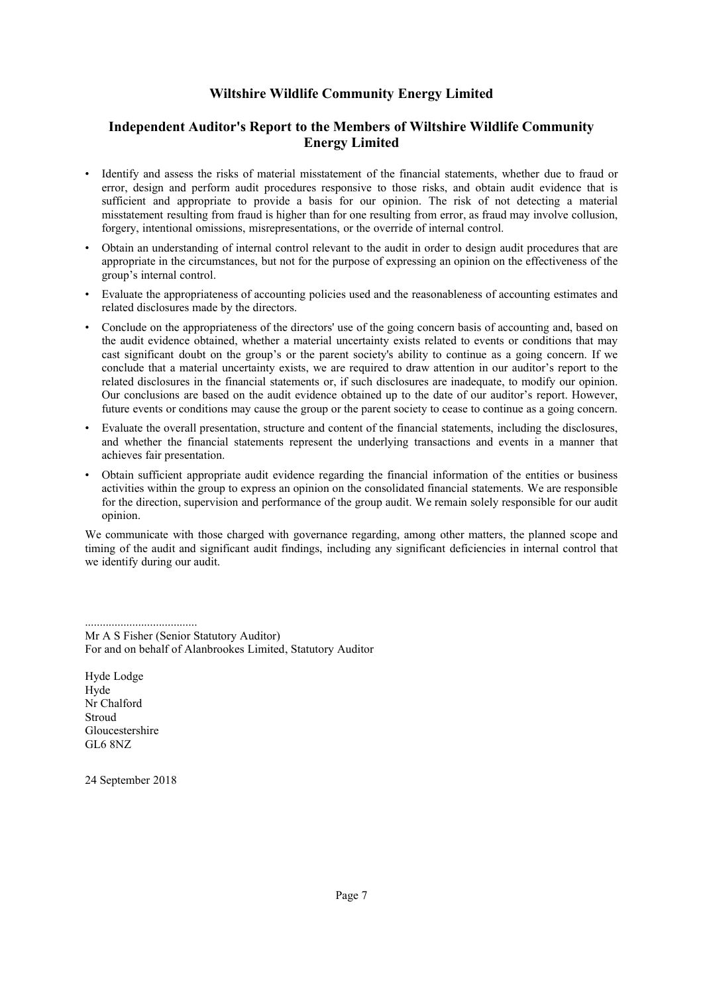### Independent Auditor's Report to the Members of Wiltshire Wildlife Community Energy Limited

- Identify and assess the risks of material misstatement of the financial statements, whether due to fraud or error, design and perform audit procedures responsive to those risks, and obtain audit evidence that is sufficient and appropriate to provide a basis for our opinion. The risk of not detecting a material misstatement resulting from fraud is higher than for one resulting from error, as fraud may involve collusion, forgery, intentional omissions, misrepresentations, or the override of internal control.
- Obtain an understanding of internal control relevant to the audit in order to design audit procedures that are appropriate in the circumstances, but not for the purpose of expressing an opinion on the effectiveness of the group's internal control.
- Evaluate the appropriateness of accounting policies used and the reasonableness of accounting estimates and related disclosures made by the directors.
- Conclude on the appropriateness of the directors' use of the going concern basis of accounting and, based on the audit evidence obtained, whether a material uncertainty exists related to events or conditions that may cast significant doubt on the group's or the parent society's ability to continue as a going concern. If we conclude that a material uncertainty exists, we are required to draw attention in our auditor's report to the related disclosures in the financial statements or, if such disclosures are inadequate, to modify our opinion. Our conclusions are based on the audit evidence obtained up to the date of our auditor's report. However, future events or conditions may cause the group or the parent society to cease to continue as a going concern.
- Evaluate the overall presentation, structure and content of the financial statements, including the disclosures, and whether the financial statements represent the underlying transactions and events in a manner that achieves fair presentation.
- Obtain sufficient appropriate audit evidence regarding the financial information of the entities or business activities within the group to express an opinion on the consolidated financial statements. We are responsible for the direction, supervision and performance of the group audit. We remain solely responsible for our audit opinion.

We communicate with those charged with governance regarding, among other matters, the planned scope and timing of the audit and significant audit findings, including any significant deficiencies in internal control that we identify during our audit.

Mr A S Fisher (Senior Statutory Auditor) For and on behalf of Alanbrookes Limited, Statutory Auditor

Hyde Lodge Hyde Nr Chalford Stroud Gloucestershire GL6 8NZ

......................................

24 September 2018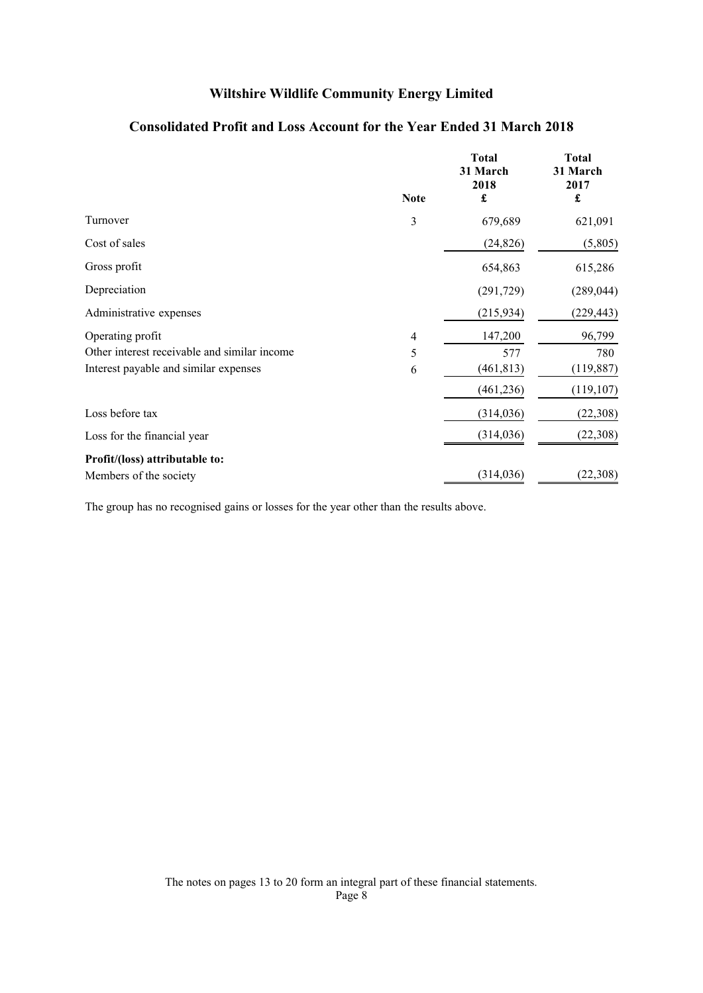<span id="page-9-0"></span>

|                                              | <b>Note</b> | <b>Total</b><br>31 March<br>2018<br>£ | <b>Total</b><br>31 March<br>2017<br>£ |
|----------------------------------------------|-------------|---------------------------------------|---------------------------------------|
| Turnover                                     | 3           | 679,689                               | 621,091                               |
| Cost of sales                                |             | (24, 826)                             | (5,805)                               |
| Gross profit                                 |             | 654,863                               | 615,286                               |
| Depreciation                                 |             | (291, 729)                            | (289, 044)                            |
| Administrative expenses                      |             | (215, 934)                            | (229, 443)                            |
| Operating profit                             | 4           | 147,200                               | 96,799                                |
| Other interest receivable and similar income | 5           | 577                                   | 780                                   |
| Interest payable and similar expenses        | 6           | (461, 813)                            | (119, 887)                            |
|                                              |             | (461, 236)                            | (119, 107)                            |
| Loss before tax                              |             | (314, 036)                            | (22, 308)                             |
| Loss for the financial year                  |             | (314, 036)                            | (22, 308)                             |
| Profit/(loss) attributable to:               |             |                                       |                                       |
| Members of the society                       |             | (314, 036)                            | (22,308)                              |

## Consolidated Profit and Loss Account for the Year Ended 31 March 2018

The group has no recognised gains or losses for the year other than the results above.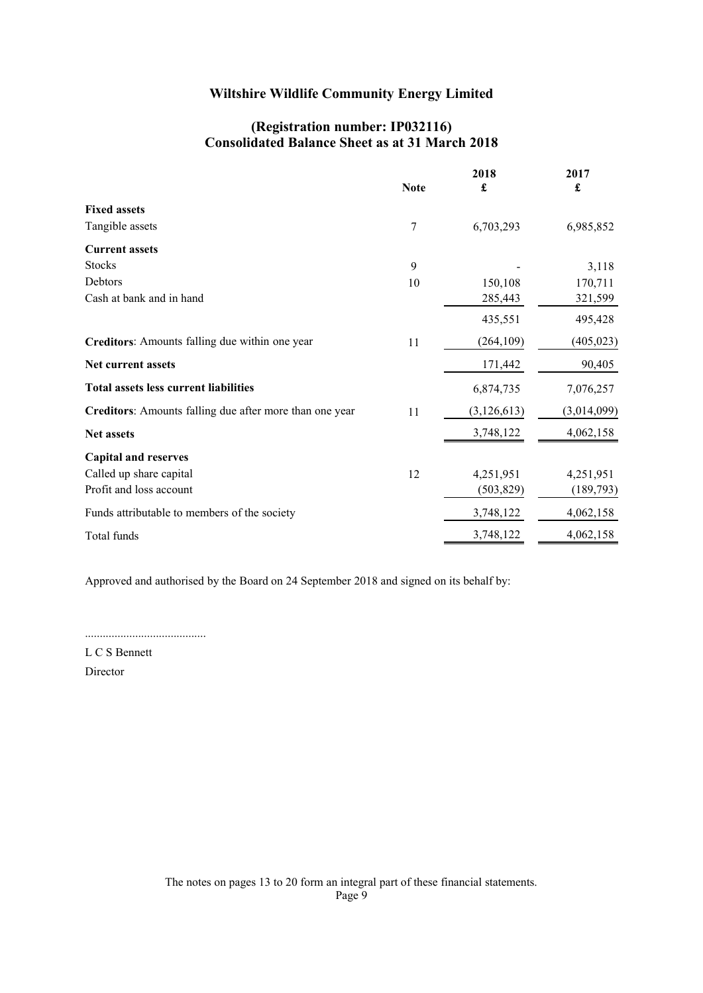### (Registration number: IP032116) Consolidated Balance Sheet as at 31 March 2018

<span id="page-10-0"></span>

|                                                         | <b>Note</b> | 2018<br>£     | 2017<br>£   |
|---------------------------------------------------------|-------------|---------------|-------------|
| <b>Fixed assets</b>                                     |             |               |             |
| Tangible assets                                         | 7           | 6,703,293     | 6,985,852   |
| <b>Current assets</b>                                   |             |               |             |
| <b>Stocks</b>                                           | 9           |               | 3,118       |
| Debtors                                                 | 10          | 150,108       | 170,711     |
| Cash at bank and in hand                                |             | 285,443       | 321,599     |
|                                                         |             | 435,551       | 495,428     |
| Creditors: Amounts falling due within one year          | 11          | (264, 109)    | (405, 023)  |
| Net current assets                                      |             | 171,442       | 90,405      |
| <b>Total assets less current liabilities</b>            |             | 6,874,735     | 7,076,257   |
| Creditors: Amounts falling due after more than one year | 11          | (3, 126, 613) | (3,014,099) |
| <b>Net assets</b>                                       |             | 3,748,122     | 4,062,158   |
| <b>Capital and reserves</b>                             |             |               |             |
| Called up share capital                                 | 12          | 4,251,951     | 4,251,951   |
| Profit and loss account                                 |             | (503, 829)    | (189, 793)  |
| Funds attributable to members of the society            |             | 3,748,122     | 4,062,158   |
| Total funds                                             |             | 3,748,122     | 4,062,158   |
|                                                         |             |               |             |

Approved and authorised by the Board on 24 September 2018 and signed on its behalf by:

.........................................

L C S Bennett Director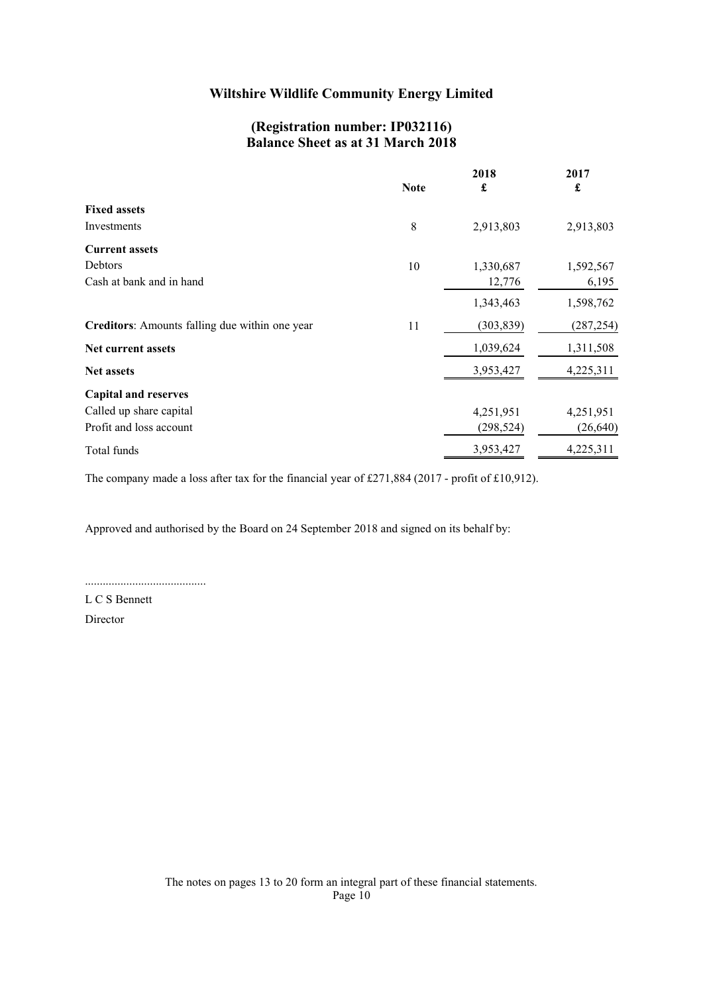### (Registration number: IP032116) Balance Sheet as at 31 March 2018

<span id="page-11-0"></span>

|                                                | <b>Note</b> | 2018<br>£  | 2017<br>£  |
|------------------------------------------------|-------------|------------|------------|
| <b>Fixed assets</b>                            |             |            |            |
| Investments                                    | 8           | 2,913,803  | 2,913,803  |
| <b>Current assets</b>                          |             |            |            |
| Debtors                                        | 10          | 1,330,687  | 1,592,567  |
| Cash at bank and in hand                       |             | 12,776     | 6,195      |
|                                                |             | 1,343,463  | 1,598,762  |
| Creditors: Amounts falling due within one year | 11          | (303, 839) | (287, 254) |
| Net current assets                             |             | 1,039,624  | 1,311,508  |
| <b>Net assets</b>                              |             | 3,953,427  | 4,225,311  |
| <b>Capital and reserves</b>                    |             |            |            |
| Called up share capital                        |             | 4,251,951  | 4,251,951  |
| Profit and loss account                        |             | (298, 524) | (26, 640)  |
| Total funds                                    |             | 3,953,427  | 4,225,311  |

The company made a loss after tax for the financial year of £271,884 (2017 - profit of £10,912).

Approved and authorised by the Board on 24 September 2018 and signed on its behalf by:

.........................................

L C S Bennett Director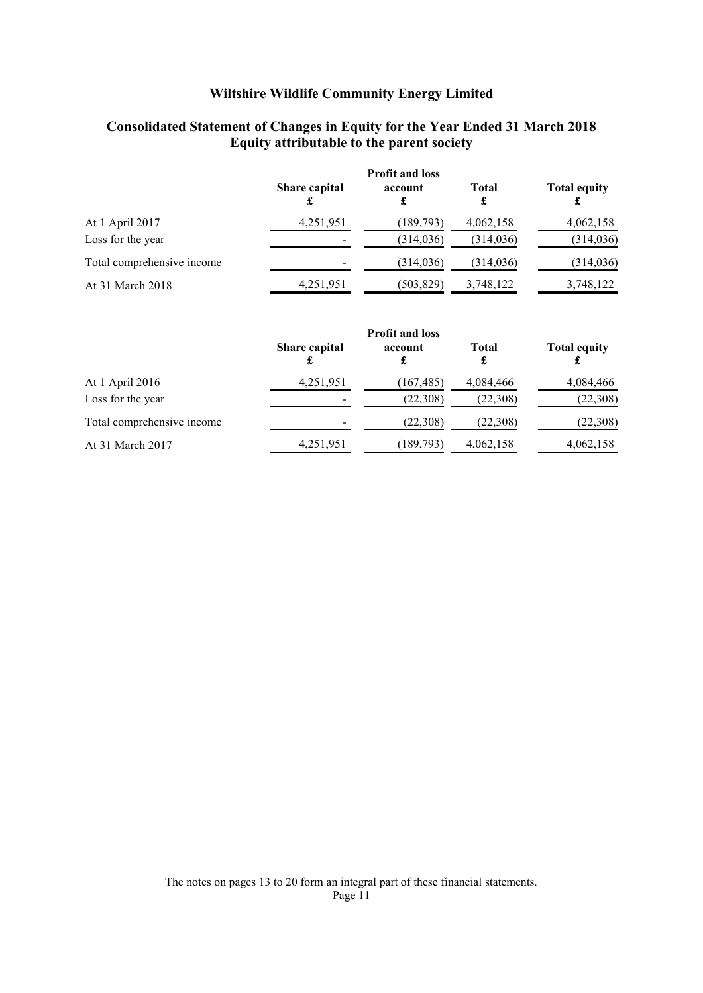## Consolidated Statement of Changes in Equity for the Year Ended 31 March 2018 Equity attributable to the parent society

<span id="page-12-0"></span>

|                            | <b>Profit and loss</b> |              |                   |                     |
|----------------------------|------------------------|--------------|-------------------|---------------------|
|                            | Share capital          | account<br>£ | <b>Total</b><br>£ | <b>Total equity</b> |
| At 1 April 2017            | 4,251,951              | (189,793)    | 4,062,158         | 4,062,158           |
| Loss for the year          |                        | (314, 036)   | (314, 036)        | (314, 036)          |
| Total comprehensive income |                        | (314, 036)   | (314, 036)        | (314, 036)          |
| At 31 March 2018           | 4,251,951              | (503, 829)   | 3,748,122         | 3,748,122           |

|                            | <b>Profit and loss</b>   |              |                   |                     |
|----------------------------|--------------------------|--------------|-------------------|---------------------|
|                            | Share capital            | account<br>£ | <b>Total</b><br>£ | <b>Total equity</b> |
| At 1 April 2016            | 4,251,951                | (167, 485)   | 4,084,466         | 4,084,466           |
| Loss for the year          | $\overline{\phantom{0}}$ | (22,308)     | (22,308)          | (22,308)            |
| Total comprehensive income | -                        | (22,308)     | (22,308)          | (22, 308)           |
| At 31 March 2017           | 4,251,951                | (189, 793)   | 4,062,158         | 4,062,158           |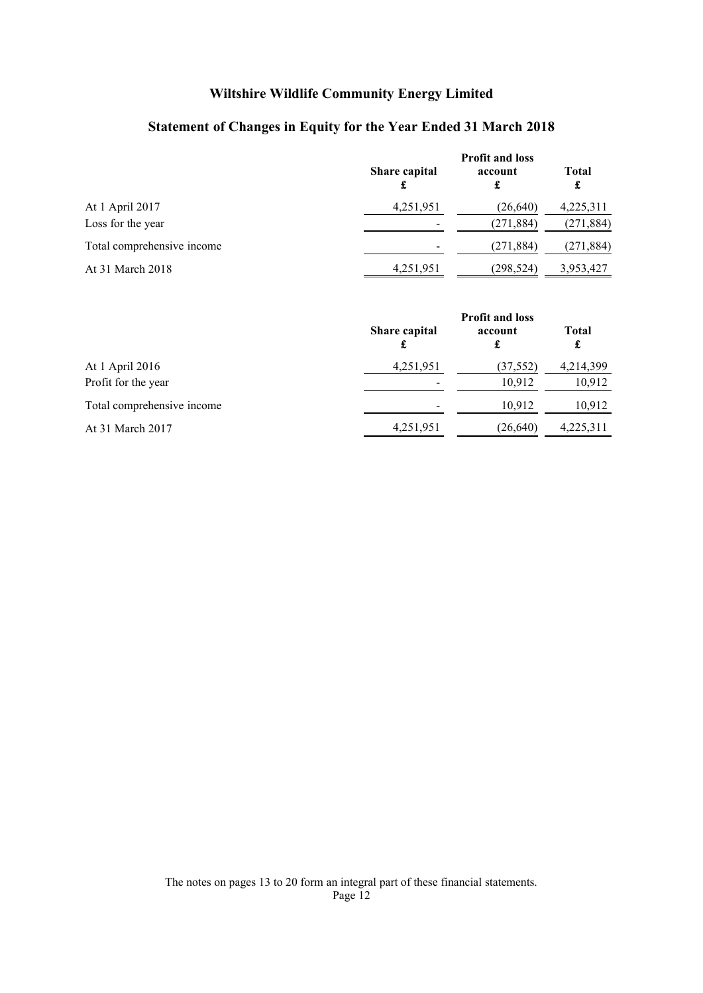# Statement of Changes in Equity for the Year Ended 31 March 2018

<span id="page-13-0"></span>

|                            | <b>Profit and loss</b> |              |                   |
|----------------------------|------------------------|--------------|-------------------|
|                            | Share capital          | account<br>£ | <b>Total</b><br>£ |
| At 1 April 2017            | 4,251,951              | (26,640)     | 4,225,311         |
| Loss for the year          |                        | (271, 884)   | (271, 884)        |
| Total comprehensive income |                        | (271, 884)   | (271, 884)        |
| At 31 March 2018           | 4,251,951              | (298,524)    | 3,953,427         |

|                            | <b>Profit and loss</b> |              |                   |
|----------------------------|------------------------|--------------|-------------------|
|                            | Share capital          | account<br>£ | <b>Total</b><br>£ |
| At 1 April 2016            | 4,251,951              | (37, 552)    | 4,214,399         |
| Profit for the year        |                        | 10,912       | 10,912            |
| Total comprehensive income |                        | 10.912       | 10,912            |
| At 31 March 2017           | 4,251,951              | (26,640)     | 4,225,311         |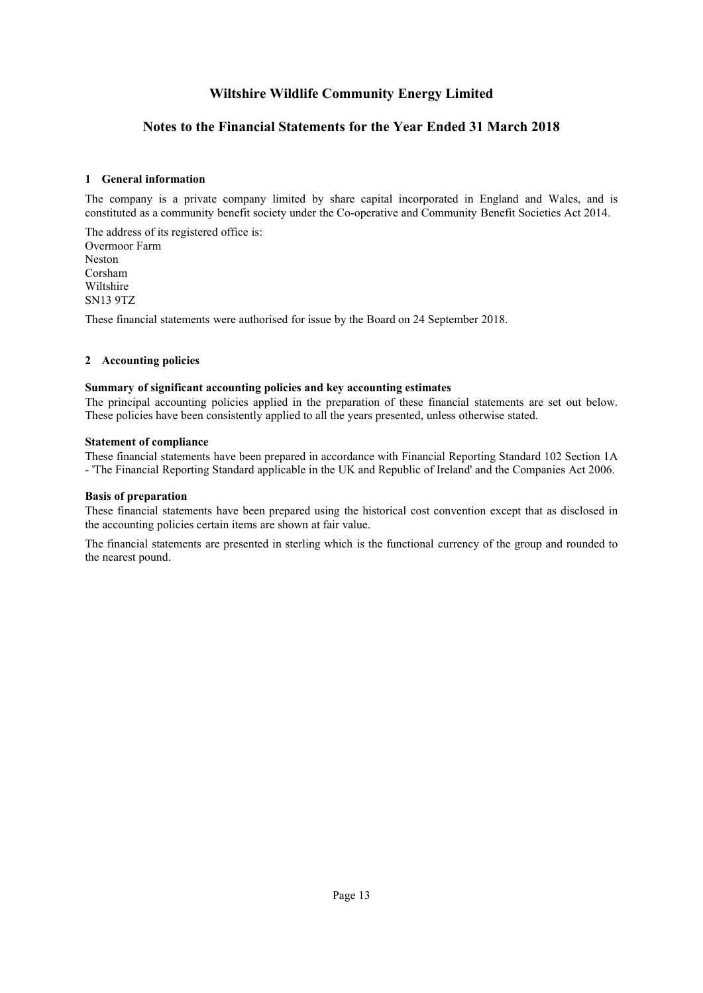### Notes to the Financial Statements for the Year Ended 31 March 2018

### <span id="page-14-0"></span>[1](#page-14-0) General information

The company is a private company limited by share capital incorporated in England and Wales, and is constituted as a community benefit society under the Co-operative and Community Benefit Societies Act 2014.

The address of its registered office is: Overmoor Farm Neston Corsham Wiltshire SN13 9TZ

<span id="page-14-1"></span>These financial statements were authorised for issue by the Board on 24 September 2018.

### [2](#page-14-1) Accounting policies

#### Summary of significant accounting policies and key accounting estimates

The principal accounting policies applied in the preparation of these financial statements are set out below. These policies have been consistently applied to all the years presented, unless otherwise stated.

#### Statement of compliance

These financial statements have been prepared in accordance with Financial Reporting Standard 102 Section 1A - 'The Financial Reporting Standard applicable in the UK and Republic of Ireland' and the Companies Act 2006.

#### Basis of preparation

These financial statements have been prepared using the historical cost convention except that as disclosed in the accounting policies certain items are shown at fair value.

The financial statements are presented in sterling which is the functional currency of the group and rounded to the nearest pound.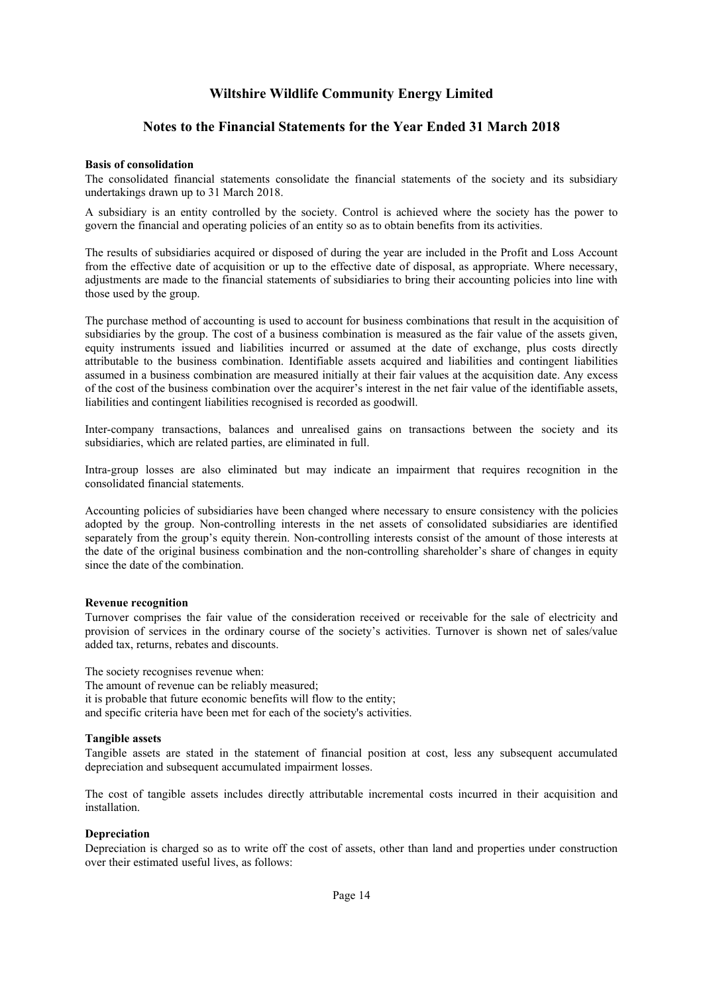### Notes to the Financial Statements for the Year Ended 31 March 2018

#### Basis of consolidation

The consolidated financial statements consolidate the financial statements of the society and its subsidiary undertakings drawn up to 31 March 2018.

A subsidiary is an entity controlled by the society. Control is achieved where the society has the power to govern the financial and operating policies of an entity so as to obtain benefits from its activities.

The results of subsidiaries acquired or disposed of during the year are included in the Profit and Loss Account from the effective date of acquisition or up to the effective date of disposal, as appropriate. Where necessary, adjustments are made to the financial statements of subsidiaries to bring their accounting policies into line with those used by the group.

The purchase method of accounting is used to account for business combinations that result in the acquisition of subsidiaries by the group. The cost of a business combination is measured as the fair value of the assets given, equity instruments issued and liabilities incurred or assumed at the date of exchange, plus costs directly attributable to the business combination. Identifiable assets acquired and liabilities and contingent liabilities assumed in a business combination are measured initially at their fair values at the acquisition date. Any excess of the cost of the business combination over the acquirer's interest in the net fair value of the identifiable assets, liabilities and contingent liabilities recognised is recorded as goodwill.

Inter-company transactions, balances and unrealised gains on transactions between the society and its subsidiaries, which are related parties, are eliminated in full.

Intra-group losses are also eliminated but may indicate an impairment that requires recognition in the consolidated financial statements.

Accounting policies of subsidiaries have been changed where necessary to ensure consistency with the policies adopted by the group. Non-controlling interests in the net assets of consolidated subsidiaries are identified separately from the group's equity therein. Non-controlling interests consist of the amount of those interests at the date of the original business combination and the non-controlling shareholder's share of changes in equity since the date of the combination.

#### Revenue recognition

Turnover comprises the fair value of the consideration received or receivable for the sale of electricity and provision of services in the ordinary course of the society's activities. Turnover is shown net of sales/value added tax, returns, rebates and discounts.

The society recognises revenue when:

The amount of revenue can be reliably measured;

it is probable that future economic benefits will flow to the entity;

and specific criteria have been met for each of the society's activities.

#### Tangible assets

Tangible assets are stated in the statement of financial position at cost, less any subsequent accumulated depreciation and subsequent accumulated impairment losses.

The cost of tangible assets includes directly attributable incremental costs incurred in their acquisition and installation.

#### **Depreciation**

Depreciation is charged so as to write off the cost of assets, other than land and properties under construction over their estimated useful lives, as follows: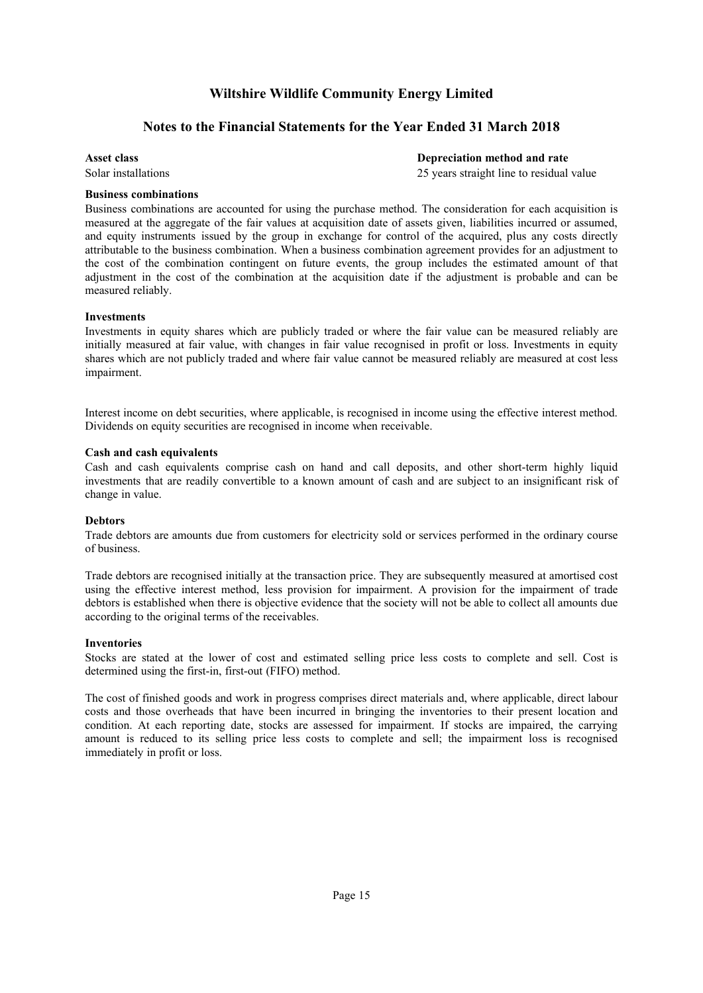### Notes to the Financial Statements for the Year Ended 31 March 2018

Asset class Depreciation method and rate

Solar installations 25 years straight line to residual value

### Business combinations

Business combinations are accounted for using the purchase method. The consideration for each acquisition is measured at the aggregate of the fair values at acquisition date of assets given, liabilities incurred or assumed, and equity instruments issued by the group in exchange for control of the acquired, plus any costs directly attributable to the business combination. When a business combination agreement provides for an adjustment to the cost of the combination contingent on future events, the group includes the estimated amount of that adjustment in the cost of the combination at the acquisition date if the adjustment is probable and can be measured reliably.

#### Investments

Investments in equity shares which are publicly traded or where the fair value can be measured reliably are initially measured at fair value, with changes in fair value recognised in profit or loss. Investments in equity shares which are not publicly traded and where fair value cannot be measured reliably are measured at cost less impairment.

Interest income on debt securities, where applicable, is recognised in income using the effective interest method. Dividends on equity securities are recognised in income when receivable.

#### Cash and cash equivalents

Cash and cash equivalents comprise cash on hand and call deposits, and other short-term highly liquid investments that are readily convertible to a known amount of cash and are subject to an insignificant risk of change in value.

#### Debtors

Trade debtors are amounts due from customers for electricity sold or services performed in the ordinary course of business.

Trade debtors are recognised initially at the transaction price. They are subsequently measured at amortised cost using the effective interest method, less provision for impairment. A provision for the impairment of trade debtors is established when there is objective evidence that the society will not be able to collect all amounts due according to the original terms of the receivables.

#### Inventories

Stocks are stated at the lower of cost and estimated selling price less costs to complete and sell. Cost is determined using the first-in, first-out (FIFO) method.

The cost of finished goods and work in progress comprises direct materials and, where applicable, direct labour costs and those overheads that have been incurred in bringing the inventories to their present location and condition. At each reporting date, stocks are assessed for impairment. If stocks are impaired, the carrying amount is reduced to its selling price less costs to complete and sell; the impairment loss is recognised immediately in profit or loss.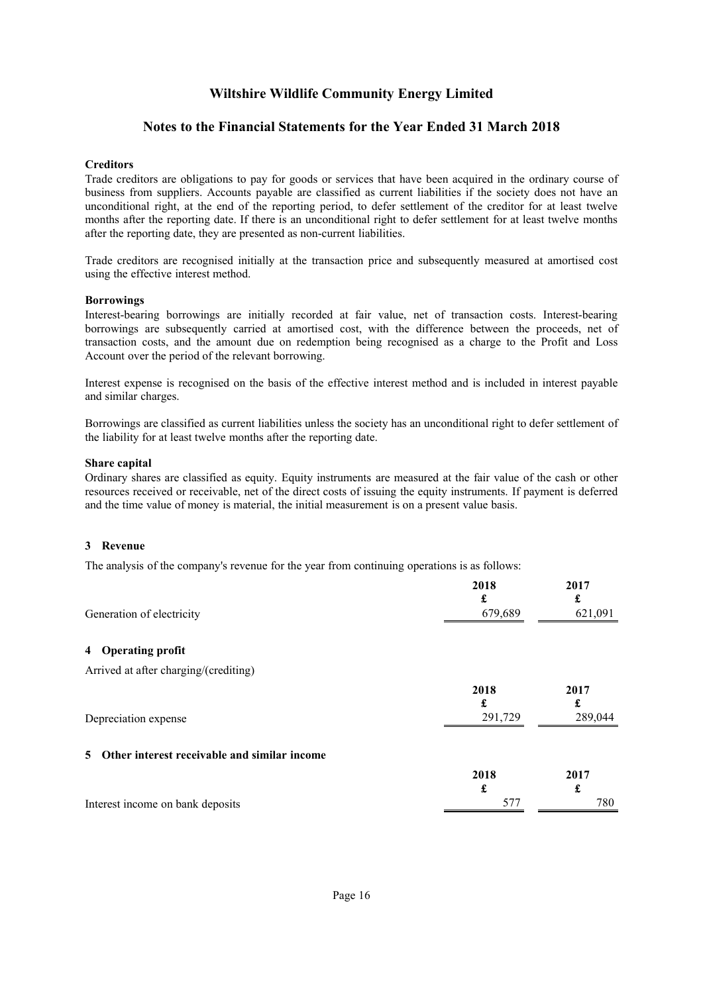### Notes to the Financial Statements for the Year Ended 31 March 2018

#### **Creditors**

Trade creditors are obligations to pay for goods or services that have been acquired in the ordinary course of business from suppliers. Accounts payable are classified as current liabilities if the society does not have an unconditional right, at the end of the reporting period, to defer settlement of the creditor for at least twelve months after the reporting date. If there is an unconditional right to defer settlement for at least twelve months after the reporting date, they are presented as non-current liabilities.

Trade creditors are recognised initially at the transaction price and subsequently measured at amortised cost using the effective interest method.

#### Borrowings

Interest-bearing borrowings are initially recorded at fair value, net of transaction costs. Interest-bearing borrowings are subsequently carried at amortised cost, with the difference between the proceeds, net of transaction costs, and the amount due on redemption being recognised as a charge to the Profit and Loss Account over the period of the relevant borrowing.

Interest expense is recognised on the basis of the effective interest method and is included in interest payable and similar charges.

Borrowings are classified as current liabilities unless the society has an unconditional right to defer settlement of the liability for at least twelve months after the reporting date.

#### Share capital

<span id="page-17-0"></span>Ordinary shares are classified as equity. Equity instruments are measured at the fair value of the cash or other resources received or receivable, net of the direct costs of issuing the equity instruments. If payment is deferred and the time value of money is material, the initial measurement is on a present value basis.

#### [3](#page-17-0) Revenue

The analysis of the company's revenue for the year from continuing operations is as follows:

<span id="page-17-2"></span><span id="page-17-1"></span>

| Generation of electricity                          | 2018<br>£<br>679,689 | 2017<br>£<br>621,091 |
|----------------------------------------------------|----------------------|----------------------|
| 4 Operating profit                                 |                      |                      |
| Arrived at after charging/(crediting)              |                      |                      |
|                                                    | 2018                 | 2017                 |
|                                                    | £                    | £                    |
| Depreciation expense                               | 291,729              | 289,044              |
| Other interest receivable and similar income<br>5. |                      |                      |
|                                                    | 2018                 | 2017                 |
|                                                    | £                    | £                    |
| Interest income on bank deposits                   | 577                  | 780                  |
|                                                    |                      |                      |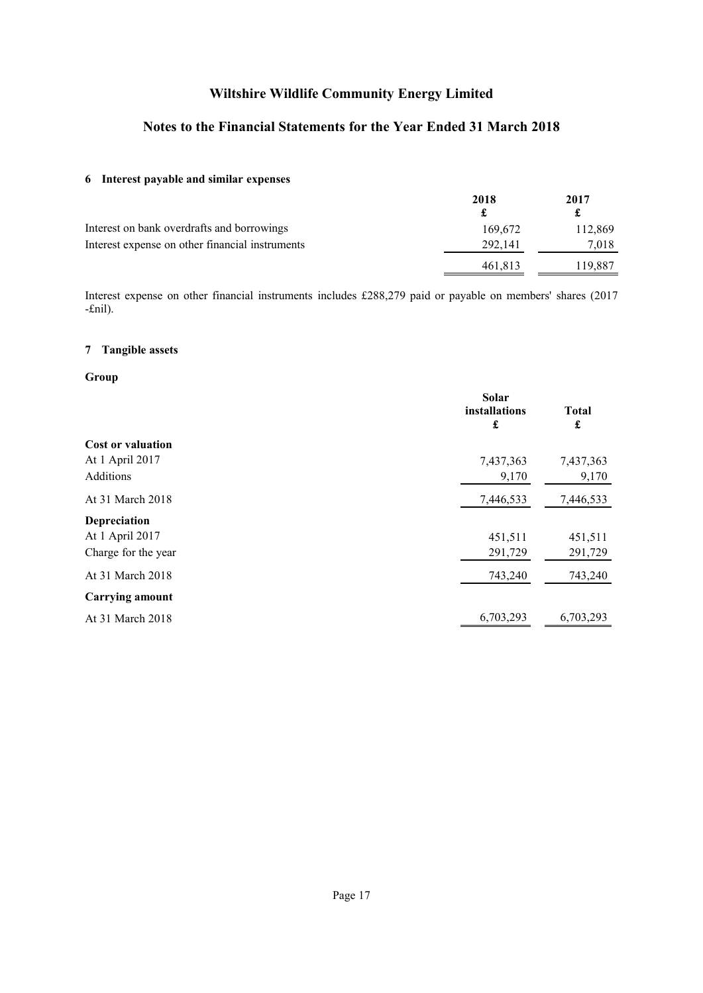### Notes to the Financial Statements for the Year Ended 31 March 2018

### <span id="page-18-0"></span>[6](#page-18-0) Interest payable and similar expenses

|                                                 | 2018    | 2017    |
|-------------------------------------------------|---------|---------|
|                                                 |         |         |
| Interest on bank overdrafts and borrowings      | 169.672 | 112,869 |
| Interest expense on other financial instruments | 292,141 | 7.018   |
|                                                 | 461,813 | 119,887 |

<span id="page-18-1"></span>Interest expense on other financial instruments includes £288,279 paid or payable on members' shares (2017 -£nil).

### [7](#page-18-1) Tangible assets

### Group

|                          | Solar<br>installations<br>£ | <b>Total</b><br>£ |
|--------------------------|-----------------------------|-------------------|
| <b>Cost or valuation</b> |                             |                   |
| At 1 April 2017          | 7,437,363                   | 7,437,363         |
| Additions                | 9,170                       | 9,170             |
| At 31 March 2018         | 7,446,533                   | 7,446,533         |
| Depreciation             |                             |                   |
| At 1 April 2017          | 451,511                     | 451,511           |
| Charge for the year      | 291,729                     | 291,729           |
| At 31 March 2018         | 743,240                     | 743,240           |
| <b>Carrying amount</b>   |                             |                   |
| At 31 March 2018         | 6,703,293                   | 6,703,293         |
|                          |                             |                   |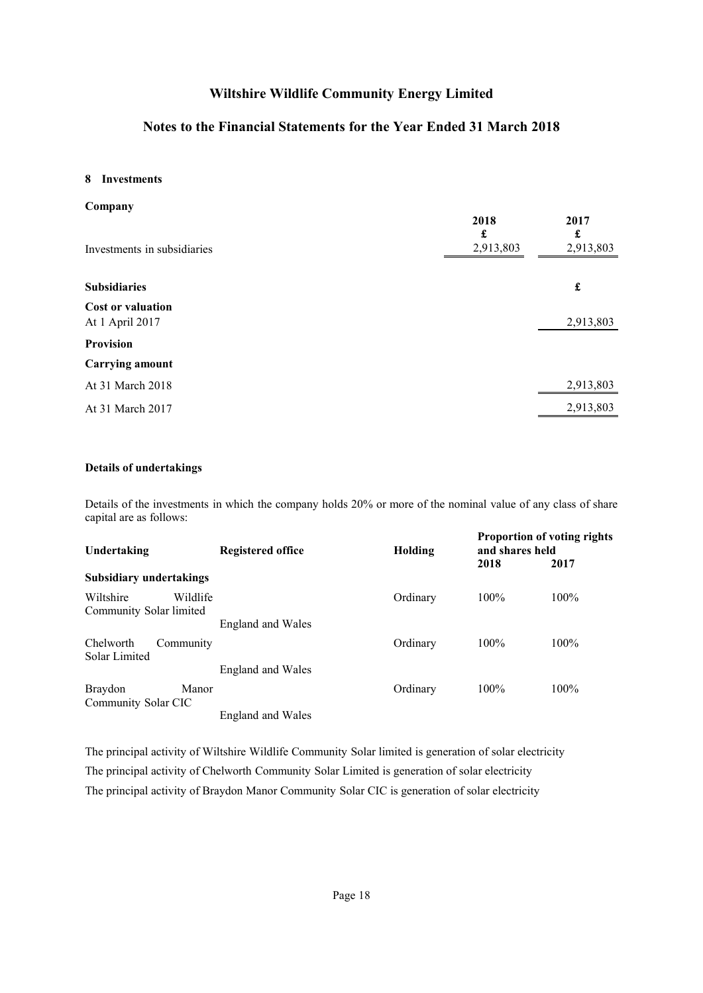### Notes to the Financial Statements for the Year Ended 31 March 2018

### <span id="page-19-0"></span>[8](#page-19-0) Investments

| Company                                     |                        |                        |
|---------------------------------------------|------------------------|------------------------|
| Investments in subsidiaries                 | 2018<br>£<br>2,913,803 | 2017<br>£<br>2,913,803 |
| <b>Subsidiaries</b>                         |                        | £                      |
| <b>Cost or valuation</b><br>At 1 April 2017 |                        | 2,913,803              |
| <b>Provision</b>                            |                        |                        |
| <b>Carrying amount</b>                      |                        |                        |
| At 31 March 2018                            |                        | 2,913,803              |
| At 31 March 2017                            |                        | 2,913,803              |
|                                             |                        |                        |

### Details of undertakings

Details of the investments in which the company holds 20% or more of the nominal value of any class of share capital are as follows:

| Undertaking                          |           | <b>Registered office</b> | Holding  | <b>Proportion of voting rights</b><br>and shares held |         |
|--------------------------------------|-----------|--------------------------|----------|-------------------------------------------------------|---------|
|                                      |           |                          |          | 2018                                                  | 2017    |
| <b>Subsidiary undertakings</b>       |           |                          |          |                                                       |         |
| Wiltshire<br>Community Solar limited | Wildlife  |                          | Ordinary | $100\%$                                               | 100%    |
|                                      |           | <b>England and Wales</b> |          |                                                       |         |
| Chelworth<br>Solar Limited           | Community |                          | Ordinary | $100\%$                                               | $100\%$ |
|                                      |           | <b>England and Wales</b> |          |                                                       |         |
| Braydon                              | Manor     |                          | Ordinary | 100%                                                  | 100%    |
| Community Solar CIC                  |           |                          |          |                                                       |         |
|                                      |           | England and Wales        |          |                                                       |         |

The principal activity of Wiltshire Wildlife Community Solar limited is generation of solar electricity The principal activity of Chelworth Community Solar Limited is generation of solar electricity The principal activity of Braydon Manor Community Solar CIC is generation of solar electricity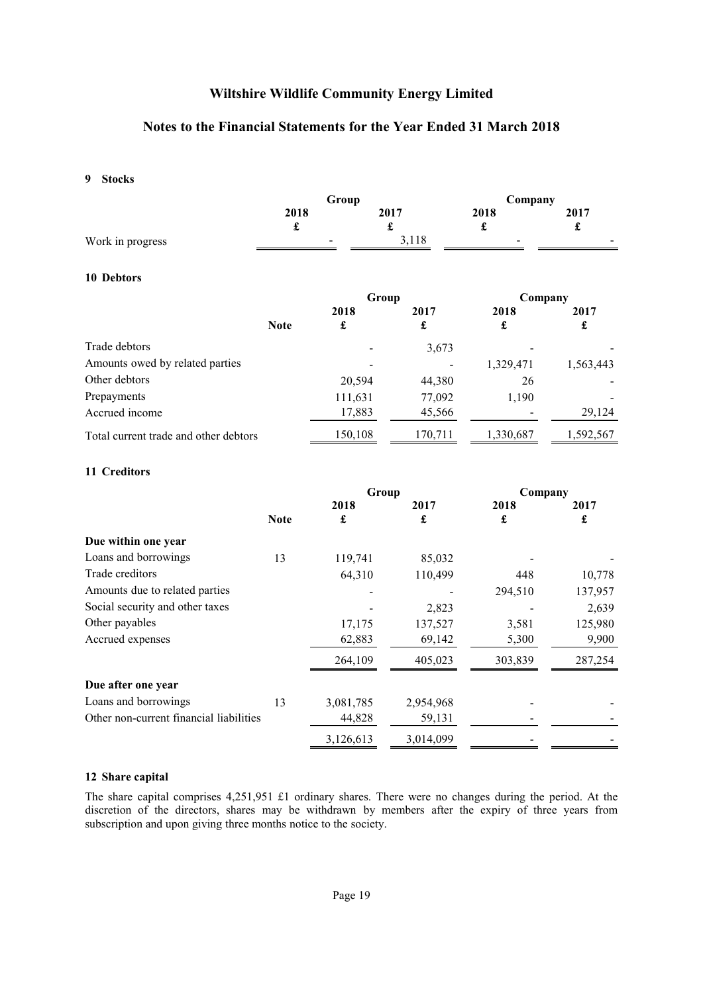### Notes to the Financial Statements for the Year Ended 31 March 2018

### <span id="page-20-0"></span>[9](#page-20-0) Stocks

|                  | Group                         |             | Company                  |                                |
|------------------|-------------------------------|-------------|--------------------------|--------------------------------|
|                  | 2018                          | 2017        | 2018                     | 2017                           |
| Work in progress | -<br>$\overline{\phantom{a}}$ | a.<br>3,118 | $\overline{\phantom{a}}$ | ۰.<br>$\overline{\phantom{a}}$ |

### <span id="page-20-1"></span>[10](#page-20-1) Debtors

|                                       |             | Group   |         | Company   |           |
|---------------------------------------|-------------|---------|---------|-----------|-----------|
|                                       |             | 2018    | 2017    | 2018      | 2017      |
|                                       | <b>Note</b> | £       | £       | £         | £         |
| Trade debtors                         |             |         | 3,673   |           |           |
| Amounts owed by related parties       |             |         |         | 1,329,471 | 1,563,443 |
| Other debtors                         |             | 20,594  | 44,380  | 26        |           |
| Prepayments                           |             | 111,631 | 77,092  | 1,190     |           |
| Accrued income                        |             | 17,883  | 45,566  |           | 29,124    |
| Total current trade and other debtors |             | 150,108 | 170,711 | 1,330,687 | 1,592,567 |

### <span id="page-20-2"></span>[11](#page-20-2) Creditors

|                                         |             | Group     |           | Company |         |
|-----------------------------------------|-------------|-----------|-----------|---------|---------|
|                                         |             | 2018      | 2017      | 2018    | 2017    |
|                                         | <b>Note</b> | £         | £         | £       | £       |
| Due within one year                     |             |           |           |         |         |
| Loans and borrowings                    | 13          | 119,741   | 85,032    |         |         |
| Trade creditors                         |             | 64,310    | 110,499   | 448     | 10,778  |
| Amounts due to related parties          |             |           |           | 294,510 | 137,957 |
| Social security and other taxes         |             |           | 2,823     |         | 2,639   |
| Other payables                          |             | 17,175    | 137,527   | 3,581   | 125,980 |
| Accrued expenses                        |             | 62,883    | 69,142    | 5,300   | 9,900   |
|                                         |             | 264,109   | 405,023   | 303,839 | 287,254 |
| Due after one year                      |             |           |           |         |         |
| Loans and borrowings                    | 13          | 3,081,785 | 2,954,968 |         |         |
| Other non-current financial liabilities |             | 44,828    | 59,131    |         |         |
|                                         |             | 3,126,613 | 3,014,099 |         |         |

#### <span id="page-20-3"></span>[12](#page-20-3) Share capital

The share capital comprises 4,251,951 £1 ordinary shares. There were no changes during the period. At the discretion of the directors, shares may be withdrawn by members after the expiry of three years from subscription and upon giving three months notice to the society.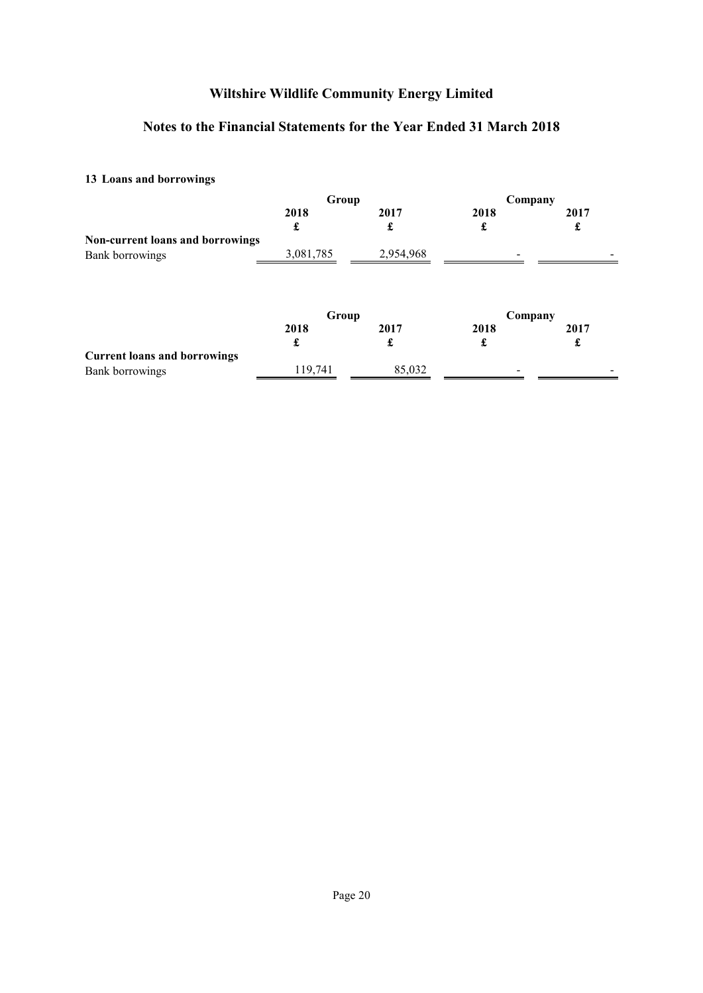# Notes to the Financial Statements for the Year Ended 31 March 2018

# <span id="page-21-0"></span>[13](#page-21-0) Loans and borrowings

|                                     | Group     |           | Company |      |
|-------------------------------------|-----------|-----------|---------|------|
|                                     | 2018      | 2017      | 2018    | 2017 |
|                                     | £         | £         | £       | £    |
| Non-current loans and borrowings    |           |           |         |      |
| Bank borrowings                     | 3,081,785 | 2,954,968 |         |      |
|                                     | Group     |           | Company |      |
|                                     | 2018      | 2017      | 2018    | 2017 |
|                                     | £         | £         | £       | £    |
| <b>Current loans and borrowings</b> |           |           |         |      |
| Bank borrowings                     | 119,741   | 85,032    |         |      |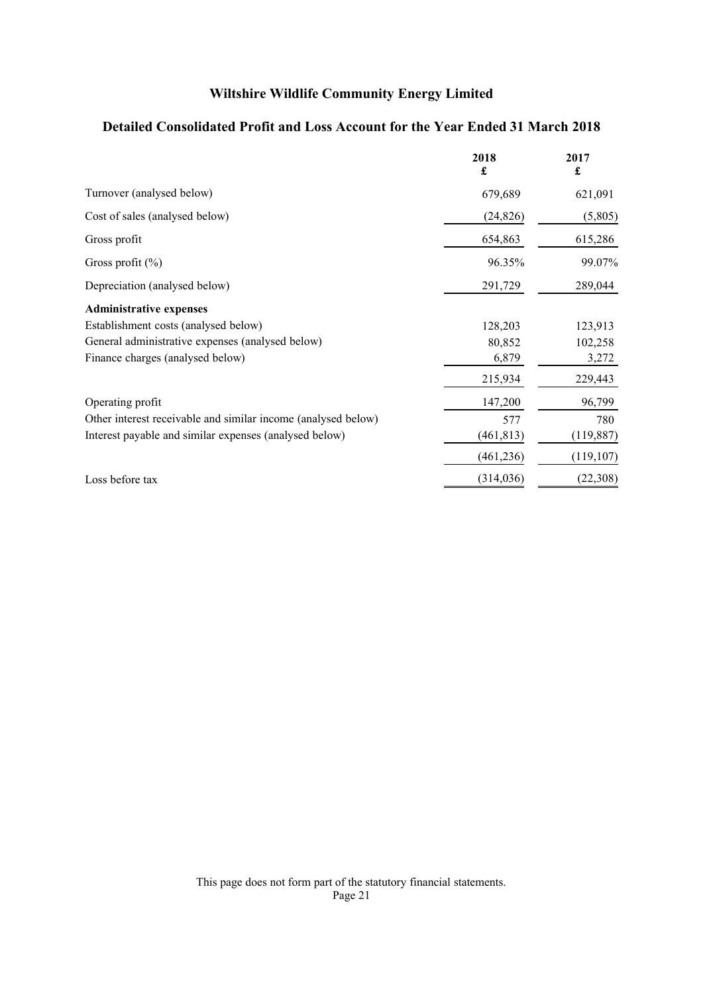# Detailed Consolidated Profit and Loss Account for the Year Ended 31 March 2018

|                                                               | 2018<br>£  | 2017<br>£  |
|---------------------------------------------------------------|------------|------------|
| Turnover (analysed below)                                     | 679,689    | 621,091    |
| Cost of sales (analysed below)                                | (24, 826)  | (5,805)    |
| Gross profit                                                  | 654,863    | 615,286    |
| Gross profit $(\% )$                                          | 96.35%     | 99.07%     |
| Depreciation (analysed below)                                 | 291,729    | 289,044    |
| <b>Administrative expenses</b>                                |            |            |
| Establishment costs (analysed below)                          | 128,203    | 123,913    |
| General administrative expenses (analysed below)              | 80,852     | 102,258    |
| Finance charges (analysed below)                              | 6,879      | 3,272      |
|                                                               | 215,934    | 229,443    |
| Operating profit                                              | 147,200    | 96,799     |
| Other interest receivable and similar income (analysed below) | 577        | 780        |
| Interest payable and similar expenses (analysed below)        | (461, 813) | (119, 887) |
|                                                               | (461, 236) | (119, 107) |
| Loss before tax                                               | (314, 036) | (22,308)   |